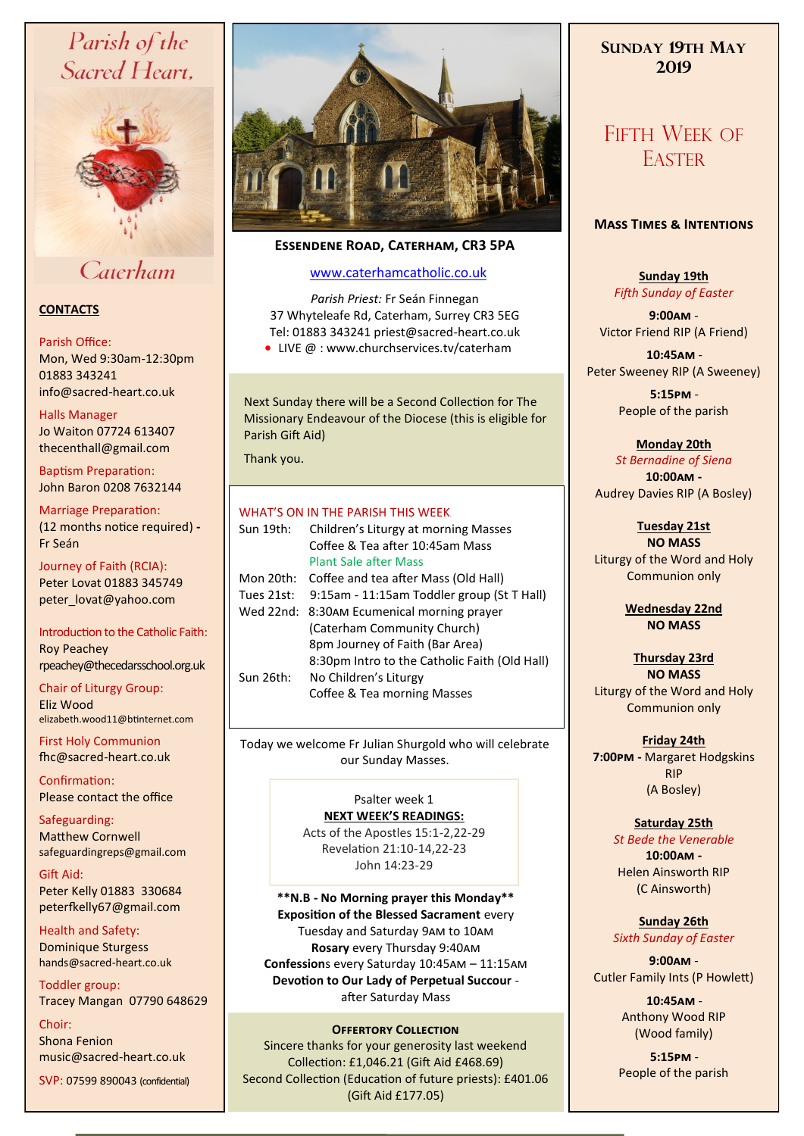# Parish of the Sacred Heart,



# Caterham

### **CONTACTS**

#### Parish Office:

Mon, Wed 9:30am-12:30pm 01883 343241 info@sacred-heart.co.uk .

#### Halls Manager

Jo Waiton 07724 613407 thecenthall@gmail.com

Baptism Preparation: John Baron 0208 7632144

Marriage Preparation: (12 months notice required) **-** Fr Seán

Journey of Faith (RCIA): Peter Lovat 01883 345749 peter\_lovat@yahoo.com

Introduction to the Catholic Faith: Roy Peachey rpeachey@thecedarsschool.org.uk

Chair of Liturgy Group: Eliz Wood elizabeth.wood11@btinternet.com

First Holy Communion fhc@sacred-heart.co.uk

Confirmation: Please contact the office

Safeguarding: Matthew Cornwell safeguardingreps@gmail.com

Gift Aid: Peter Kelly 01883 330684 peterfkelly67@gmail.com

Health and Safety: Dominique Sturgess hands@sacred-heart.co.uk

Toddler group: Tracey Mangan 07790 648629

Choir: Shona Fenion music@sacred-heart.co.uk SVP: 07599 890043 (confidential)



# **Essendene Road, Caterham, CR3 5PA**

# [www.caterhamcatholic.co.uk](http://Www.caterhamcatholic.co.uk)

*Parish Priest:* Fr Seán Finnegan 37 Whyteleafe Rd, Caterham, Surrey CR3 5EG Tel: 01883 343241 priest@sacred-heart.co.uk

● LIVE @ : www.churchservices.tv/caterham

Next Sunday there will be a Second Collection for The Missionary Endeavour of the Diocese (this is eligible for Parish Gift Aid)

Thank you.

# WHAT'S ON IN THE PARISH THIS WEEK

| Sun 19th:  | Children's Liturgy at morning Masses          |
|------------|-----------------------------------------------|
|            | Coffee & Tea after 10:45am Mass               |
|            | <b>Plant Sale after Mass</b>                  |
| Mon 20th:  | Coffee and tea after Mass (Old Hall)          |
| Tues 21st: | 9:15am - 11:15am Toddler group (St T Hall)    |
| Wed 22nd:  | 8:30AM Ecumenical morning prayer              |
|            | (Caterham Community Church)                   |
|            | 8pm Journey of Faith (Bar Area)               |
|            | 8:30pm Intro to the Catholic Faith (Old Hall) |
| Sun 26th:  | No Children's Liturgy                         |
|            | Coffee & Tea morning Masses                   |
|            |                                               |

Today we welcome Fr Julian Shurgold who will celebrate our Sunday Masses.

#### Psalter week 1 **NEXT WEEK'S READINGS:**

Acts of the Apostles 15:1-2,22-29 Revelation 21:10-14,22-23 John 14:23-29

**\*\*N.B - No Morning prayer this Monday\*\* Exposition of the Blessed Sacrament** every Tuesday and Saturday 9am to 10am **Rosary** every Thursday 9:40am **Confession**s every Saturday 10:45am – 11:15am **Devotion to Our Lady of Perpetual Succour**  after Saturday Mass

#### **OFFERTORY COLLECTION**

Sincere thanks for your generosity last weekend Collection: £1,046.21 (Gift Aid £468.69) Second Collection (Education of future priests): £401.06 (Gift Aid £177.05)

# **SUNDAY 19TH MAY 2019**

# FIFTH WFFK OF **EASTER**

# **Mass Times & Intentions**

**Sunday 19th** *Fifth Sunday of Easter*

**9:00am** - Victor Friend RIP (A Friend)

.**10:45am** - Peter Sweeney RIP (A Sweeney)

> .**5:15pm** - People of the parish

# **Monday 20th**

*St Bernadine of Siena* **10:00am -**  Audrey Davies RIP (A Bosley)

**Tuesday 21st**

**NO MASS**  Liturgy of the Word and Holy Communion only

> **Wednesday 22nd NO MASS**

**Thursday 23rd NO MASS**  Liturgy of the Word and Holy Communion only

**Friday 24th 7:00pm -** Margaret Hodgskins RIP (A Bosley)

# **Saturday 25th**

*St Bede the Venerable* **10:00am -**  Helen Ainsworth RIP (C Ainsworth)

#### **Sunday 26th** *Sixth Sunday of Easter*

**9:00am** - Cutler Family Ints (P Howlett)

> .**10:45am** - Anthony Wood RIP (Wood family)

.**5:15pm** - People of the parish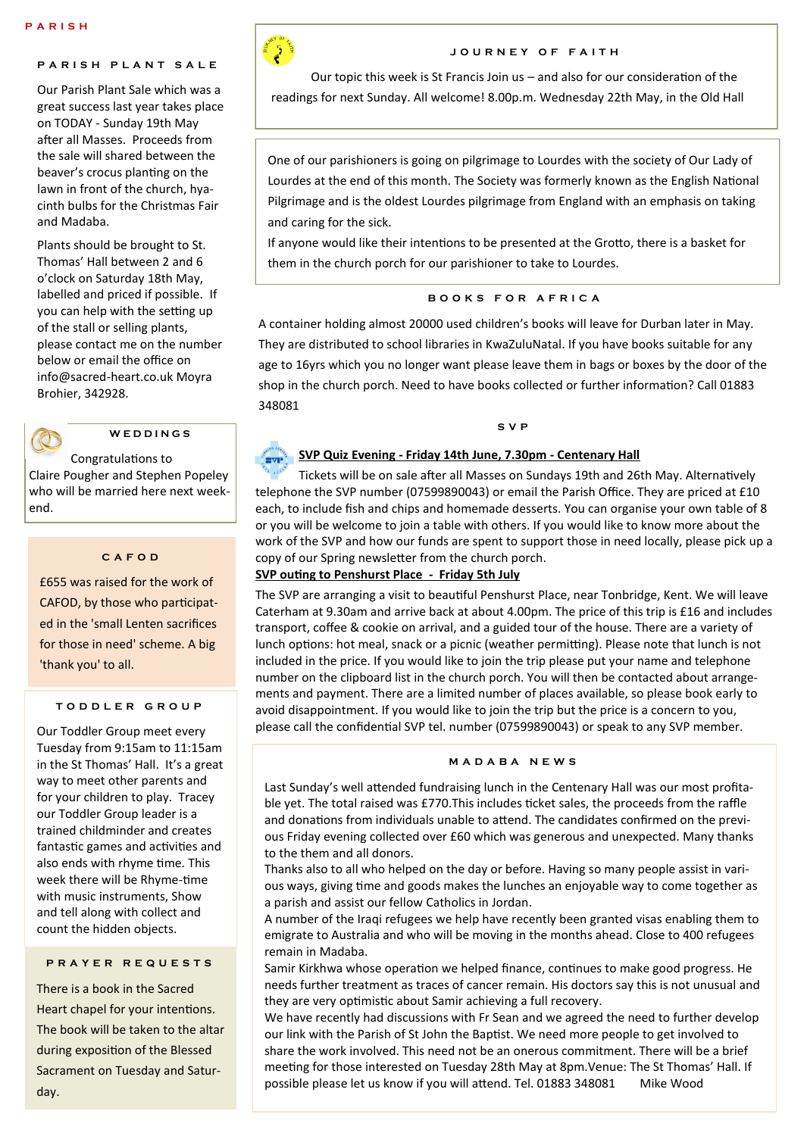# **P A R I S H P L A N T S A L E**

Our Parish Plant Sale which was a great success last year takes place on TODAY - Sunday 19th May after all Masses. Proceeds from the sale will shared between the beaver's crocus planting on the lawn in front of the church, hyacinth bulbs for the Christmas Fair and Madaba.

Plants should be brought to St. Thomas' Hall between 2 and 6 o'clock on Saturday 18th May, labelled and priced if possible. If you can help with the setting up of the stall or selling plants, please contact me on the number below or email the office on info@sacred-heart.co.uk Moyra Brohier, 342928.



# **W E D D I N G S**

Congratulations to Claire Pougher and Stephen Popeley who will be married here next weekend.

#### **C A F O D**

£655 was raised for the work of CAFOD, by those who participated in the 'small Lenten sacrifices for those in need' scheme. A big 'thank you' to all.

#### **T O D D L E R G R O U P**

Our Toddler Group meet every Tuesday from 9:15am to 11:15am in the St Thomas' Hall. It's a great way to meet other parents and for your children to play. Tracey our Toddler Group leader is a trained childminder and creates fantastic games and activities and also ends with rhyme time. This week there will be Rhyme-time with music instruments, Show and tell along with collect and count the hidden objects.

#### **P R A Y E R R E Q U E S T S**

There is a book in the Sacred Heart chapel for your intentions. The book will be taken to the altar during exposition of the Blessed Sacrament on Tuesday and Saturday.



#### **J O U R N E Y O F F A I T H**

Our topic this week is St Francis Join us – and also for our consideration of the readings for next Sunday. All welcome! 8.00p.m. Wednesday 22th May, in the Old Hall

One of our parishioners is going on pilgrimage to Lourdes with the society of Our Lady of Lourdes at the end of this month. The Society was formerly known as the English National Pilgrimage and is the oldest Lourdes pilgrimage from England with an emphasis on taking and caring for the sick.

If anyone would like their intentions to be presented at the Grotto, there is a basket for them in the church porch for our parishioner to take to Lourdes.

#### **B O O K S F O R A F R I C A**

A container holding almost 20000 used children's books will leave for Durban later in May. They are distributed to school libraries in KwaZuluNatal. If you have books suitable for any age to 16yrs which you no longer want please leave them in bags or boxes by the door of the shop in the church porch. Need to have books collected or further information? Call 01883 348081

**S V P** 

#### **SVP Quiz Evening - Friday 14th June, 7.30pm - Centenary Hall**

Tickets will be on sale after all Masses on Sundays 19th and 26th May. Alternatively telephone the SVP number (07599890043) or email the Parish Office. They are priced at £10 each, to include fish and chips and homemade desserts. You can organise your own table of 8 or you will be welcome to join a table with others. If you would like to know more about the work of the SVP and how our funds are spent to support those in need locally, please pick up a copy of our Spring newsletter from the church porch.

#### **SVP outing to Penshurst Place - Friday 5th July**

The SVP are arranging a visit to beautiful Penshurst Place, near Tonbridge, Kent. We will leave Caterham at 9.30am and arrive back at about 4.00pm. The price of this trip is £16 and includes transport, coffee & cookie on arrival, and a guided tour of the house. There are a variety of lunch options: hot meal, snack or a picnic (weather permitting). Please note that lunch is not included in the price. If you would like to join the trip please put your name and telephone number on the clipboard list in the church porch. You will then be contacted about arrangements and payment. There are a limited number of places available, so please book early to avoid disappointment. If you would like to join the trip but the price is a concern to you, please call the confidential SVP tel. number (07599890043) or speak to any SVP member.

#### **M A D A B A N E W S**

Last Sunday's well attended fundraising lunch in the Centenary Hall was our most profitable yet. The total raised was £770.This includes ticket sales, the proceeds from the raffle and donations from individuals unable to attend. The candidates confirmed on the previous Friday evening collected over £60 which was generous and unexpected. Many thanks to the them and all donors.

Thanks also to all who helped on the day or before. Having so many people assist in various ways, giving time and goods makes the lunches an enjoyable way to come together as a parish and assist our fellow Catholics in Jordan.

A number of the Iraqi refugees we help have recently been granted visas enabling them to emigrate to Australia and who will be moving in the months ahead. Close to 400 refugees remain in Madaba.

Samir Kirkhwa whose operation we helped finance, continues to make good progress. He needs further treatment as traces of cancer remain. His doctors say this is not unusual and they are very optimistic about Samir achieving a full recovery.

We have recently had discussions with Fr Sean and we agreed the need to further develop our link with the Parish of St John the Baptist. We need more people to get involved to share the work involved. This need not be an onerous commitment. There will be a brief meeting for those interested on Tuesday 28th May at 8pm.Venue: The St Thomas' Hall. If possible please let us know if you will attend. Tel. 01883 348081 Mike Wood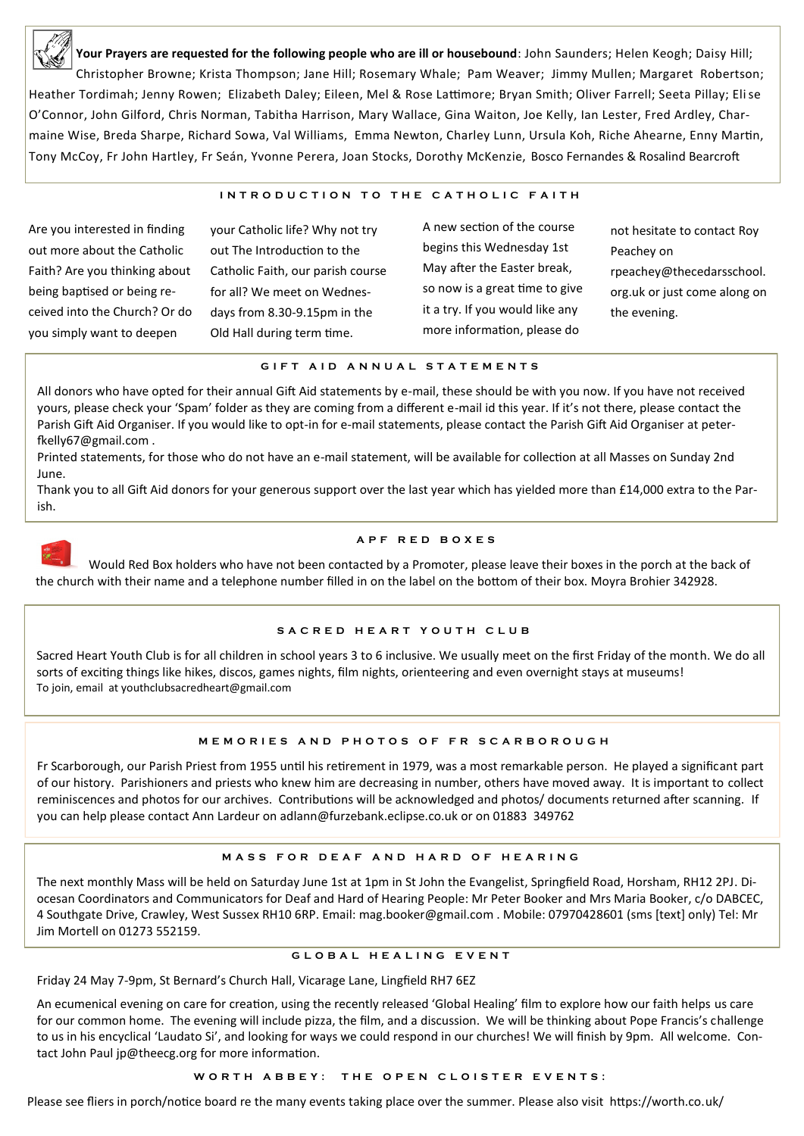

**Your Prayers are requested for the following people who are ill or housebound**: John Saunders; Helen Keogh; Daisy Hill; Christopher Browne; Krista Thompson; Jane Hill; Rosemary Whale; Pam Weaver; Jimmy Mullen; Margaret Robertson; Heather Tordimah; Jenny Rowen; Elizabeth Daley; Eileen, Mel & Rose Lattimore; Bryan Smith; Oliver Farrell; Seeta Pillay; Elise O'Connor, John Gilford, Chris Norman, Tabitha Harrison, Mary Wallace, Gina Waiton, Joe Kelly, Ian Lester, Fred Ardley, Charmaine Wise, Breda Sharpe, Richard Sowa, Val Williams, Emma Newton, Charley Lunn, Ursula Koh, Riche Ahearne, Enny Martin, Tony McCoy, Fr John Hartley, Fr Seán, Yvonne Perera, Joan Stocks, Dorothy McKenzie, Bosco Fernandes & Rosalind Bearcroft

#### **INTRODUCTION TO THE CATHOLIC FAITH**

Are you interested in finding out more about the Catholic Faith? Are you thinking about being baptised or being received into the Church? Or do you simply want to deepen

your Catholic life? Why not try out The Introduction to the Catholic Faith, our parish course for all? We meet on Wednesdays from 8.30-9.15pm in the Old Hall during term time.

A new section of the course begins this Wednesday 1st May after the Easter break, so now is a great time to give it a try. If you would like any more information, please do

not hesitate to contact Roy Peachey on rpeachey@thecedarsschool. org.uk or just come along on the evening.

#### **G I F T A I D A N N U A L S T A T E M E N T S**

All donors who have opted for their annual Gift Aid statements by e-mail, these should be with you now. If you have not received yours, please check your 'Spam' folder as they are coming from a different e-mail id this year. If it's not there, please contact the Parish Gift Aid Organiser. If you would like to opt-in for e-mail statements, please contact the Parish Gift Aid Organiser at peterfkelly67@gmail.com .

Printed statements, for those who do not have an e-mail statement, will be available for collection at all Masses on Sunday 2nd June.

Thank you to all Gift Aid donors for your generous support over the last year which has yielded more than £14,000 extra to the Parish.



#### **A P F R E D B O X E S**

Would Red Box holders who have not been contacted by a Promoter, please leave their boxes in the porch at the back of the church with their name and a telephone number filled in on the label on the bottom of their box. Moyra Brohier 342928.

#### S A C R E D H E A R T Y O U T H C L U B

Sacred Heart Youth Club is for all children in school years 3 to 6 inclusive. We usually meet on the first Friday of the month. We do all sorts of exciting things like hikes, discos, games nights, film nights, orienteering and even overnight stays at museums! To join, email at youthclubsacredheart@gmail.com

#### **M E M O R I E S A N D P H O T O S O F F R S C A R B O R O U G H**

Fr Scarborough, our Parish Priest from 1955 until his retirement in 1979, was a most remarkable person. He played a significant part of our history. Parishioners and priests who knew him are decreasing in number, others have moved away. It is important to collect reminiscences and photos for our archives. Contributions will be acknowledged and photos/ documents returned after scanning. If you can help please contact Ann Lardeur on adlann@furzebank.eclipse.co.uk or on 01883 349762

#### **M A S S F O R D E A F A N D H A R D O F H E A R I N G**

The next monthly Mass will be held on Saturday June 1st at 1pm in St John the Evangelist, Springfield Road, Horsham, RH12 2PJ. Diocesan Coordinators and Communicators for Deaf and Hard of Hearing People: Mr Peter Booker and Mrs Maria Booker, c/o DABCEC, 4 Southgate Drive, Crawley, West Sussex RH10 6RP. Email: mag.booker@gmail.com . Mobile: 07970428601 (sms [text] only) Tel: Mr Jim Mortell on 01273 552159.

### **G L O B A L H E A L I N G E V E N T**

Friday 24 May 7-9pm, St Bernard's Church Hall, Vicarage Lane, Lingfield RH7 6EZ

An ecumenical evening on care for creation, using the recently released 'Global Healing' film to explore how our faith helps us care for our common home. The evening will include pizza, the film, and a discussion. We will be thinking about Pope Francis's challenge to us in his encyclical 'Laudato Si', and looking for ways we could respond in our churches! We will finish by 9pm. All welcome. Contact John Paul jp@theecg.org for more information.

#### WORTH ABBEY: THE OPEN CLOISTER EVENTS:

Please see fliers in porch/notice board re the many events taking place over the summer. Please also visit https://worth.co.uk/